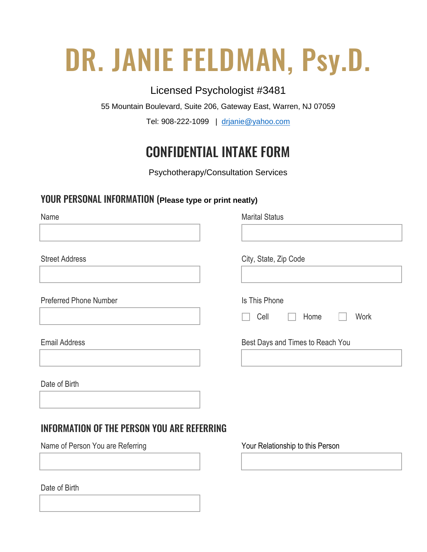# DR. JANIE FELDMAN, Psy.D.

# Licensed Psychologist #3481

55 Mountain Boulevard, Suite 206, Gateway East, Warren, NJ 07059

Tel: 908-222-1099 | [drjanie@yahoo.com](mailto:drjanie@yahoo.com)

# CONFIDENTIAL INTAKE FORM

Psychotherapy/Consultation Services

# YOUR PERSONAL INFORMATION (**Please type or print neatly)**

| Name                                               | <b>Marital Status</b>            |
|----------------------------------------------------|----------------------------------|
|                                                    |                                  |
| <b>Street Address</b>                              | City, State, Zip Code            |
| <b>Preferred Phone Number</b>                      | Is This Phone                    |
|                                                    | Cell<br>Work<br>Home             |
| <b>Email Address</b>                               | Best Days and Times to Reach You |
| Date of Birth                                      |                                  |
| <b>INFORMATION OF THE PERSON YOU ARE REFERRING</b> |                                  |
| Name of Person You are Referring                   | Your Relationship to this Person |

Date of Birth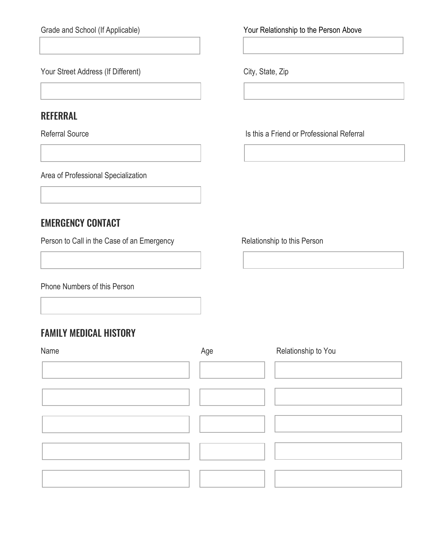Grade and School (If Applicable) **The Crack of Crack Contract Above** Your Relationship to the Person Above

Your Street Address (If Different) City, State, Zip

# REFERRAL

Referral Source **Is this a Friend or Professional Referral** 

Area of Professional Specialization

# EMERGENCY CONTACT

Person to Call in the Case of an Emergency Relationship to this Person

Area of Professional Specialization

Phone Numbers of this Person

# FAMILY MEDICAL HISTORY

| Name | Age | Relationship to You |
|------|-----|---------------------|
|      |     |                     |
|      |     |                     |
|      |     |                     |
|      |     |                     |
|      |     |                     |

Area of Professional Specialization Area of Professional Specialization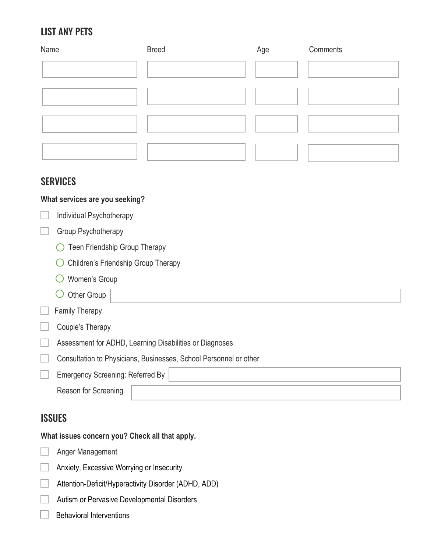# LIST ANY PETS

| Name | <b>Breed</b> | Age | Comments |
|------|--------------|-----|----------|
|      |              |     |          |
|      |              |     |          |
|      |              |     |          |
|      |              |     |          |
|      |              |     |          |

Specializ

#### **SERVICES**

#### **What services are you seeking?**

| Individual Psychotherapy |
|--------------------------|
|--------------------------|

#### Group Psychotherapy

- ◯ Teen Friendship Group Therapy
- O Children's Friendship Group Therapy
- Women's Group
- $\bigcirc$  Other Group

|  | <b>Family Therapy</b> |
|--|-----------------------|
|--|-----------------------|

 $\Box$  Couple's Therapy

Assessment for ADHD, Learning Disabilities or Diagnoses

Consultation to Physicians, Businesses, School Personnel or other

| <b>Emergency Screening: Referred By</b> |  |
|-----------------------------------------|--|
| Reason for Screening                    |  |
|                                         |  |

Area of Professional Specialization

# **ISSUES**

#### **What issues concern you? Check all that apply.**

- Anger Management
- **Anxiety, Excessive Worrying or Insecurity**
- Attention-Deficit/Hyperactivity Disorder (ADHD, ADD)
- **Autism or Pervasive Developmental Disorders**
- $\Box$  Behavioral Interventions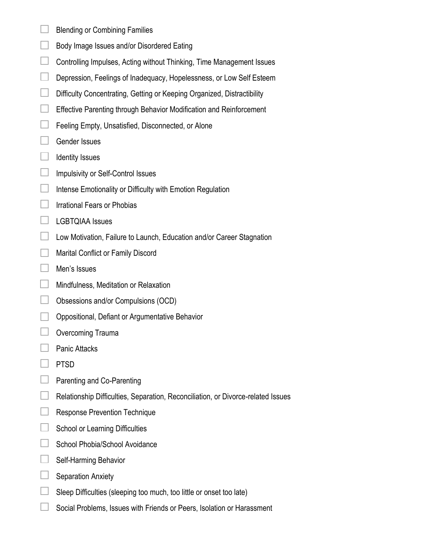- $\Box$  Blending or Combining Families
- $\Box$  Body Image Issues and/or Disordered Eating
- $\Box$  Controlling Impulses, Acting without Thinking, Time Management Issues
- Depression, Feelings of Inadequacy, Hopelessness, or Low Self Esteem
- $\Box$  Difficulty Concentrating, Getting or Keeping Organized, Distractibility
- **Effective Parenting through Behavior Modification and Reinforcement**
- $\Box$  Feeling Empty, Unsatisfied, Disconnected, or Alone
- $\Box$  Gender Issues
- $\Box$  Identity Issues
- $\Box$  Impulsivity or Self-Control Issues
- $\Box$  Intense Emotionality or Difficulty with Emotion Regulation
- $\Box$  Irrational Fears or Phobias
- $\Box$  LGBTQIAA Issues
- □ Low Motivation, Failure to Launch, Education and/or Career Stagnation
- **Marital Conflict or Family Discord**
- **Men's Issues**
- **Mindfulness, Meditation or Relaxation**
- $\Box$  Obsessions and/or Compulsions (OCD)
- **Oppositional, Defiant or Argumentative Behavior**
- $\Box$  Overcoming Trauma
- □ Panic Attacks
- $\Box$  PTSD
- $\Box$  Parenting and Co-Parenting
- $\Box$  Relationship Difficulties, Separation, Reconciliation, or Divorce-related Issues
- Response Prevention Technique
- $\Box$  School or Learning Difficulties
- $\Box$  School Phobia/School Avoidance
- $\Box$  Self-Harming Behavior
- $\Box$  Separation Anxiety
- $\Box$  Sleep Difficulties (sleeping too much, too little or onset too late)
- $\Box$  Social Problems, Issues with Friends or Peers, Isolation or Harassment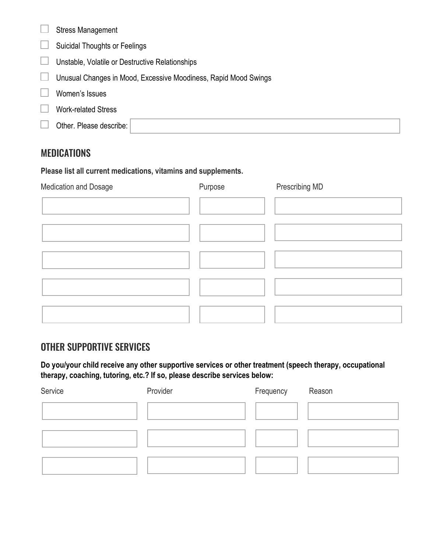| <b>Stress Management</b>                                        |  |  |
|-----------------------------------------------------------------|--|--|
| <b>Suicidal Thoughts or Feelings</b>                            |  |  |
| Unstable, Volatile or Destructive Relationships                 |  |  |
| Unusual Changes in Mood, Excessive Moodiness, Rapid Mood Swings |  |  |
| Women's Issues                                                  |  |  |
| <b>Work-related Stress</b>                                      |  |  |
| Other. Please describe:                                         |  |  |

Area of Professional Specialization

### **MEDICATIONS**

**Please list all current medications, vitamins and supplements.**

| Medication and Dosage | Purpose | Prescribing MD |
|-----------------------|---------|----------------|
|                       |         |                |
|                       |         |                |
|                       |         |                |
|                       |         |                |
|                       |         |                |

# OTHER SUPPORTIVE SERVICES

**Do you/your child receive any other supportive services or other treatment (speech therapy, occupational therapy, coaching, tutoring, etc.? If so, please describe services below:**

| Service | Provider | Frequency | Reason |
|---------|----------|-----------|--------|
|         |          |           |        |
|         |          |           |        |
|         |          |           |        |
|         |          |           |        |
|         |          |           |        |